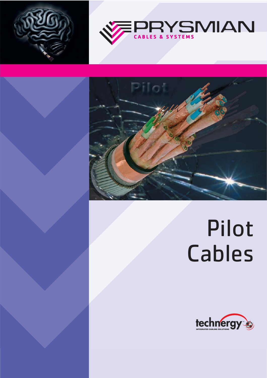





# Pilot Cables

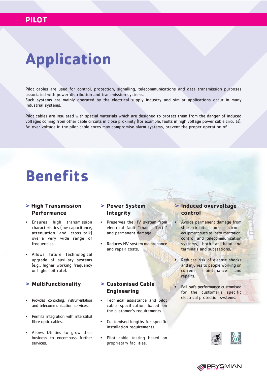## **Application**

Pilot cables are used for control, protection, signalling, telecommunications and data transmission purposes associated with power distribution and transmission systems.

Such systems are mainly operated by the electrical supply industry and similar applications occur in many industrial systems.

Pilot cables are insulated with special materials which are designed to protect them from the danger of induced voltages coming from other cable circuits in close proximity (for example, faults in high voltage power cable circuits). An over voltage in the pilot cable cores may compromise alarm systems, prevent the proper operation of

### **Benefits**

#### **> High Transmission Performance**

- Ensures high transmission characteristics (low capacitance, attenuation and cross-talk) over a very wide range of frequencies.
- Allows future technological upgrade of auxiliary systems (e.g., higher working frequency or higher bit rate).

#### **> Multifunctionality > Customised Cable**

- Provides controlling, instrumentation and telecommunication services.
- Permits integration with interstitial fibre optic cables.
- Allows Utilities to grow their business to encompass further services.

#### **> Power System Integrity**

- Preserves the HV system from electrical fault "chain effects" and permanent damage.
- Reduces HV system maintenance and repair costs.

### **Engineering**

- Technical assistance and pilot cable specification based on the customer's requirements.
- Customised lengths for specific installation requirements.
- Pilot cable testing based on proprietary facilities.

#### **> Induced overvoltage control**

- Avoids permanent damage from short-circuits on electronic equipment such as instrumentation, control and telecommunication systems, both at head-end terminals and substations.
- Reduces risk of electric shocks and injuries to people working on current maintenance and repairs.
- Fail-safe performance customised for the customer's specific electrical protection systems.



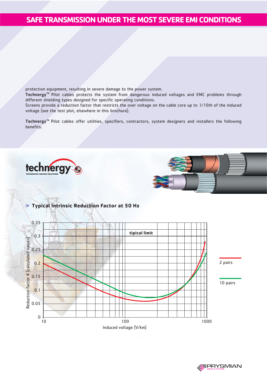#### **SAFE TRANSMISSION UNDER THE MOST SEVERE EMI CONDITIONS**

protection equipment, resulting in severe damage to the power system.

Technergy<sup>™</sup> Pilot cables protects the system from dangerous induced voltages and EMC problems through different shielding types designed for specific operating conditions.

Screens provide a reduction factor that restricts the over voltage on the cable core up to 1/10th of the induced voltage (see the test plot, elsewhere in this brochure).

Technergy<sup>™</sup> Pilot cables offer utilities, specifiers, contractors, system designers and installers the following benefits:





#### **> Typical Intrinsic Reduction Factor at 50 Hz**

![](_page_2_Figure_8.jpeg)

**PRYSMIAN**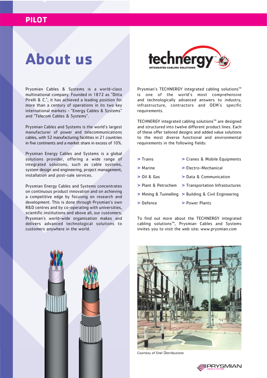#### **PILOT**

### **About us**

Prysmian Cables & Systems is a world-class multinational company. Founded in 1872 as "Ditta Pirelli & C.", it has achieved a leading position for more than a century of operations in its two key international markets - "Energy Cables & Systems" and "Telecom Cables & Systems".

Prysmian Cables and Systems is the world's largest manufacturer of power and telecommunications cables, with 52 manufacturing facilities in 21 countries in five continents and a market share in excess of 10%.

Prysmian Energy Cables and Systems is a global solutions provider, offering a wide range of integrated solutions, such as cable systems, system design and engineering, project management, installation and post-sale services.

Prysmian Energy Cables and Systems concentrates on continuous product innovation and on achieving a competitive edge by focusing on research and development. This is done through Prysmian's own R&D centres and by co-operating with universities, scientific institutions and above all, our customers. Prysmian's world-wide organisation makes and delivers advanced technological solutions to customers anywhere in the world.

![](_page_3_Picture_6.jpeg)

Prysmian's TECHNERGY integrated cabling solutions<sup>TM</sup> is one of the world's most comprehensive and technologically advanced answers to industry, infrastructure, contractors and OEM's specific requirements.

TECHNERGY integrated cabling solutions™ are designed and structured into twelve different product lines. Each of these offer tailored designs and added value solutions to the most diverse functional and environmental requirements in the following fields:

- **>** Trains **>** Cranes & Mobile Equipments
- **>** Marine **>** Electro-Mechanical
- **>** Oil & Gas **>** Data & Communication
- **>** Plant & Petrochem **>** Transportation Infrastuctures
- **>** Mining & Tunnelling **>** Building & Civil Engineering
- **>** Defence **>** Power Plants

To find out more about the TECHNERGY integrated cabling solutions™, Prysmian Cables and Systems invites you to visit the web site: www.prysmian.com

![](_page_3_Picture_16.jpeg)

![](_page_3_Picture_17.jpeg)

Courtesy of Enel Distribuzione

![](_page_3_Picture_19.jpeg)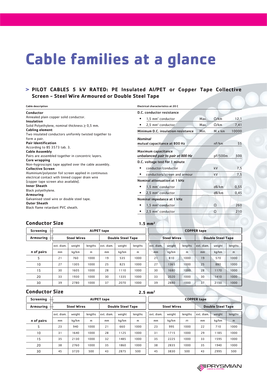## **Cable families at a glance**

#### **> PILOT CABLES 5 kV RATED: PE Insulated Al/PET or Copper Tape Collective Screen - Steel Wire Armoured or Double Steel Tape**

| <b>Cable description</b>                                                                                                                                                                                                                                                   | <b>Electrical characteristics at 20 C</b>                           |               |       |  |  |  |  |  |
|----------------------------------------------------------------------------------------------------------------------------------------------------------------------------------------------------------------------------------------------------------------------------|---------------------------------------------------------------------|---------------|-------|--|--|--|--|--|
| Conductor                                                                                                                                                                                                                                                                  | D.C. conductor resistance                                           |               |       |  |  |  |  |  |
| Annealed plain copper solid conductor.<br>Insulation                                                                                                                                                                                                                       | $1,5$ mm <sup>2</sup> conductor<br>Max.                             | $\Omega$ /km  | 12,1  |  |  |  |  |  |
| Solid Polyethylene, nominal thickness $\geq 0.5$ mm.                                                                                                                                                                                                                       | 2,5 mm <sup>2</sup> conductor<br>Max.                               | $\Omega$ /km  | 7,41  |  |  |  |  |  |
| <b>Cabling element</b>                                                                                                                                                                                                                                                     | Minimum D.C. insulation resistance<br>Min.                          | $M \times km$ | 10000 |  |  |  |  |  |
| Two insulated conductors uniformly twisted together to<br>form a pair.<br><b>Pair Identification</b>                                                                                                                                                                       | <b>Nominal</b><br>mutual capacitance at 800 Hz                      | nF/km         | 55    |  |  |  |  |  |
| According to BS 3573 tab. 3.<br><b>Cable Assembly</b><br>Pairs are assembled together in concentric layers.<br>Core wrapping<br>Non-hygroscopic tape applied over the cable assembly.<br><b>Collective Screen</b><br>Aluminium/polyester foil screen applied in continuous | Maximum capacitance<br>pF/500m<br>unbalanced pair to pair at 800 Hz |               |       |  |  |  |  |  |
|                                                                                                                                                                                                                                                                            | D.C. voltage test for 1 minute<br>conductor/conductor               | kV            | 7,5   |  |  |  |  |  |
|                                                                                                                                                                                                                                                                            | conductors/screen and armour                                        | kV            | 7,5   |  |  |  |  |  |
| electrical contact with tinned copper drain wire<br>(copper tape screen also available).                                                                                                                                                                                   | Nominal attenuation at 1 kHz                                        |               |       |  |  |  |  |  |
| Inner Sheath                                                                                                                                                                                                                                                               | $1.5$ mm <sup>2</sup> conductor<br>٠                                | dB/km         | 0,55  |  |  |  |  |  |
| Black polyethylene.<br>Armouring                                                                                                                                                                                                                                           | $2,5$ mm <sup>2</sup> conductor                                     | dB/km         | 0,45  |  |  |  |  |  |
| Galvanised steel wire or double steel tape.                                                                                                                                                                                                                                | Nominal impedance at 1 kHz                                          |               |       |  |  |  |  |  |
| <b>Outer Sheath</b><br>Black flame retardant PVC sheath.                                                                                                                                                                                                                   | $1,5$ mm <sup>2</sup> conductor                                     | $\Omega$      | 260   |  |  |  |  |  |
|                                                                                                                                                                                                                                                                            | $2,5$ mm <sup>2</sup> conductor                                     | Ω             | 210   |  |  |  |  |  |
|                                                                                                                                                                                                                                                                            |                                                                     |               |       |  |  |  |  |  |

#### **Conductor Size**

|                                        | <b>Conductor Size</b><br>$1.5$ mm <sup>2</sup> |        |         |                    |                    |         |            |        |                          |            |        |         |
|----------------------------------------|------------------------------------------------|--------|---------|--------------------|--------------------|---------|------------|--------|--------------------------|------------|--------|---------|
| <b>Screening</b><br><b>AI/PET tape</b> |                                                |        |         |                    | <b>COPPER tape</b> |         |            |        |                          |            |        |         |
| Armouring                              | <b>Steel Wires</b><br><b>Double Steel Tape</b> |        |         | <b>Steel Wires</b> |                    |         |            |        | <b>Double Steel Tape</b> |            |        |         |
|                                        | ext. diam.                                     | weight | lengths | ext. diam.         | weight             | lengths | ext. diam. | weight | lengths                  | ext. diam. | weight | lengths |
| n of pairs                             | mm                                             | kg/km  | m       | mm                 | kg/km              | m       | mm         | kg/km  | m                        | mm         | kg/km  | m       |
| 5                                      | 21                                             | 760    | 1000    | 19                 | 535                | 1000    | 21         | 810    | 1000                     | 19         | 570    | 1000    |
| 10                                     | 27                                             | 1305   | 1000    | 25                 | 825                | 1000    | 27         | 1365   | 1000                     | 25         | 880    | 1000    |
| 15                                     | 30                                             | 1605   | 1000    | 28                 | 1110               | 1000    | 30         | 1680   | 1000                     | 28         | 1170   | 1000    |
| 20                                     | 33                                             | 1930   | 1000    | 30                 | 1335               | 1000    | 33         | 2020   | 1000                     | 30         | 1410   | 1000    |
| 30                                     | 39                                             | 2780   | 1000    | 37                 | 2070               | 1000    | 39         | 2880   | 1000                     | 37         | 2150   | 1000    |

#### **Conductor Size**

| <b>Conductor Size</b> |                                                |        |         |                                   |        | $2.5 \, \text{mm}^2$ |                          |        |         |            |        |         |
|-----------------------|------------------------------------------------|--------|---------|-----------------------------------|--------|----------------------|--------------------------|--------|---------|------------|--------|---------|
| <b>Screening</b>      |                                                |        |         | AI/PET tape<br><b>COPPER tape</b> |        |                      |                          |        |         |            |        |         |
| Armouring             | <b>Double Steel Tape</b><br><b>Steel Wires</b> |        |         |                                   |        | <b>Steel Wires</b>   | <b>Double Steel Tape</b> |        |         |            |        |         |
|                       | ext. diam.                                     | weight | lengths | ext. diam.                        | weight | lengths              | ext. diam.               | weight | lengths | ext. diam. | weight | lengths |
| n of pairs            | mm                                             | kg/km  | m       | mm                                | kg/km  | m                    | mm                       | kg/km  | $m$     | mm         | kg/km  | m       |
| 5                     | 23                                             | 940    | 1000    | 21                                | 660    | 1000                 | 23                       | 995    | 1000    | 22         | 710    | 1000    |
| 10                    | 31                                             | 1640   | 1000    | 28                                | 1125   | 1000                 | 31                       | 1715   | 1000    | 29         | 1185   | 1000    |
| 15                    | 35                                             | 2130   | 1000    | 32                                | 1485   | 1000                 | 35                       | 2225   | 1000    | 33         | 1595   | 1000    |
| 20                    | 38                                             | 2760   | 1000    | 35                                | 1860   | 1000                 | 38                       | 2835   | 1000    | 35         | 1940   | 1000    |
| 30                    | 45                                             | 3720   | 500     | 43                                | 2875   | 500                  | 45                       | 3830   | 500     | 43         | 2995   | 500     |

![](_page_4_Picture_7.jpeg)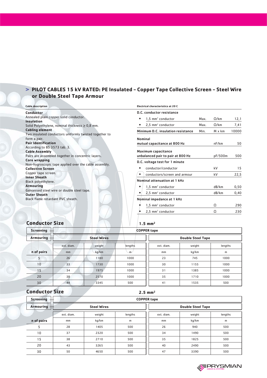#### **> PILOT CABLES 15 kV RATED: PE Insulated - Copper Tape Collective Screen - Steel Wire or Double Steel Tape Armour**

| <b>Cable description</b>                                                                             | <b>Electrical characteristics at 20 C</b>    |                      |       |  |  |  |  |  |
|------------------------------------------------------------------------------------------------------|----------------------------------------------|----------------------|-------|--|--|--|--|--|
| Conductor                                                                                            | D.C. conductor resistance                    |                      |       |  |  |  |  |  |
| Annealed plain copper solid conductor.<br><b>Insulation</b>                                          | $1,5$ mm <sup>2</sup> conductor<br>Max.      | $\Omega$ /km         | 12,1  |  |  |  |  |  |
| Solid Polyethylene, nominal thickness $\geq 0.8$ mm.                                                 | $2.5$ mm <sup>2</sup> conductor              | $\Omega$ /km<br>Max. | 7,41  |  |  |  |  |  |
| <b>Cabling element</b>                                                                               | Minimum D.C. insulation resistance<br>Min.   | M x km               | 10000 |  |  |  |  |  |
| Two insulated conductors uniformly twisted together to<br>form a pair.<br><b>Pair Identification</b> | <b>Nominal</b>                               | nF/km                |       |  |  |  |  |  |
| According to BS 3573 tab. 3.                                                                         | mutual capacitance at 800 Hz                 |                      | 50    |  |  |  |  |  |
| <b>Cable Assembly</b>                                                                                | Maximum capacitance                          |                      |       |  |  |  |  |  |
| Pairs are assembled together in concentric layers.                                                   | unbalanced pair to pair at 800 Hz<br>pF/500m |                      |       |  |  |  |  |  |
| <b>Core wrapping</b>                                                                                 | D.C. voltage test for 1 minute               |                      |       |  |  |  |  |  |
| Non-hygroscopic tape applied over the cable assembly.<br><b>Collective Screen</b>                    | conductor/conductor                          | kV                   | 15    |  |  |  |  |  |
| Copper tape screen.                                                                                  | conductors/screen and armour                 | kV                   | 22,5  |  |  |  |  |  |
| <b>Inner Sheath</b><br>Black polyethylene.                                                           | Nominal attenuation at 1 kHz                 |                      |       |  |  |  |  |  |
| <b>Armouring</b>                                                                                     | $1,5$ mm <sup>2</sup> conductor              | dB/km                | 0,50  |  |  |  |  |  |
| Galvanised steel wire or double steel tape.<br><b>Outer Sheath</b>                                   | $2.5$ mm <sup>2</sup> conductor              | dB/km                | 0,40  |  |  |  |  |  |
| Black flame retardant PVC sheath.                                                                    | Nominal impedance at 1 kHz                   |                      |       |  |  |  |  |  |
|                                                                                                      | $1,5$ mm <sup>2</sup> conductor              | Ω                    | 290   |  |  |  |  |  |
|                                                                                                      | $2.5$ mm <sup>2</sup> conductor              | Ω                    | 230   |  |  |  |  |  |

#### **Conductor Size**

| Screening $-$   |            |                    | <b>COPPER tape</b> |            |                          |         |
|-----------------|------------|--------------------|--------------------|------------|--------------------------|---------|
| Armouring       |            | <b>Steel Wires</b> |                    |            | <b>Double Steel Tape</b> |         |
|                 | ext. diam. | weight             | lengths            | ext. diam. | weight                   | lengths |
| n of pairs      | mm         | kg/km              | m                  | mm         | kg/km                    | m       |
|                 | 26         | 1180               | 1000               | 23         | 745                      | 1000    |
| 10              | 33         | 1730               | 1000               | 30         | 1155                     | 1000    |
| 15              | 34         | 1975               | 1000               | 31         | 1385                     | 1000    |
| 20              | 38         | 2570               | 1000               | 35         | 1710                     | 1000    |
| 30 <sup>°</sup> | 44         | 3345               | 500                | 41         | 1535                     | 500     |

#### **Conductor Size**

#### **2.5 mm2**

| <b>Screening</b><br>$^{+}$ | <b>COPPER tape</b> |                    |         |            |                          |         |  |
|----------------------------|--------------------|--------------------|---------|------------|--------------------------|---------|--|
| Armouring                  |                    | <b>Steel Wires</b> |         |            | <b>Double Steel Tape</b> |         |  |
|                            | ext. diam.         | weight             | lengths | ext. diam. | weight                   | lengths |  |
| n of pairs                 | mm                 | kq/km              | m       | mm         | kg/km                    | m       |  |
| п                          | 28                 | 1405               | 500     | 26         | 940                      | 500     |  |
| 10                         | 37                 | 2320               | 500     | 34         | 1490                     | 500     |  |
| 15                         | 38                 | 2710               | 500     | 35         | 1825                     | 500     |  |
| 20                         | 4 <sub>3</sub>     | 3265               | 500     | 40         | 2490                     | 500     |  |
| 30                         | 50                 | 4650               | 500     | 47         | 3390                     | 500     |  |

![](_page_5_Picture_7.jpeg)